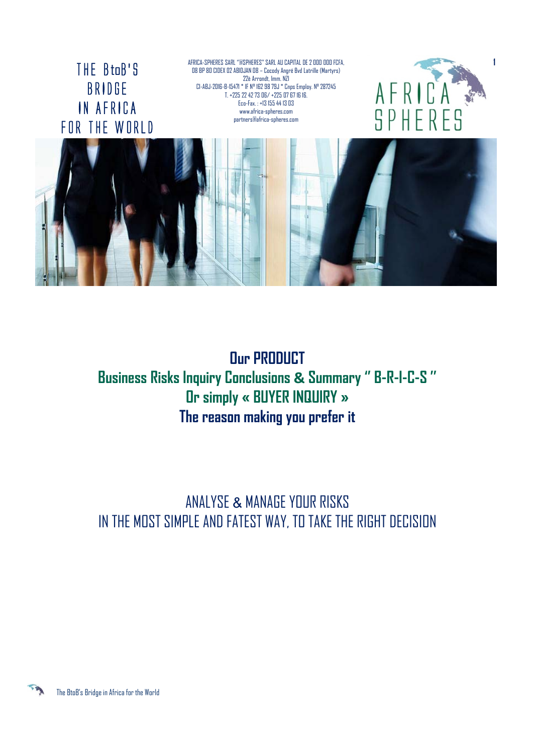THE BtoB'S BRIDGE IN AFRICA FOR THE WORLD AFRICA-SPHERES SARL ''@SPHERES'' SARL AU CAPITAL DE 2 000 000 FCFA, 08 BP 80 CIDEX 02 ABIDJAN 08 – Cocody Angré Bvd Latrille (Martyrs) 22è Arrondt, Imm. NZI CI-ABJ-2016-B-15471 \* IF N° 162 98 79J \* Cnps Employ. N° 287245 T. +225 22 42 73 06/ +225 07 67 16 16. Eco-Fax. : +13 155 44 13 03 www.africa-spheres.com partners@africa-spheres.com



**1**



**Our PRODUCT Business Risks Inquiry Conclusions & Summary '' B-R-I-C-S '' Or simply « BUYER INQUIRY » The reason making you prefer it**

ANALYSE & MANAGE YOUR RISKS IN THE MOST SIMPLE AND FATEST WAY, TO TAKE THE RIGHT DECISION

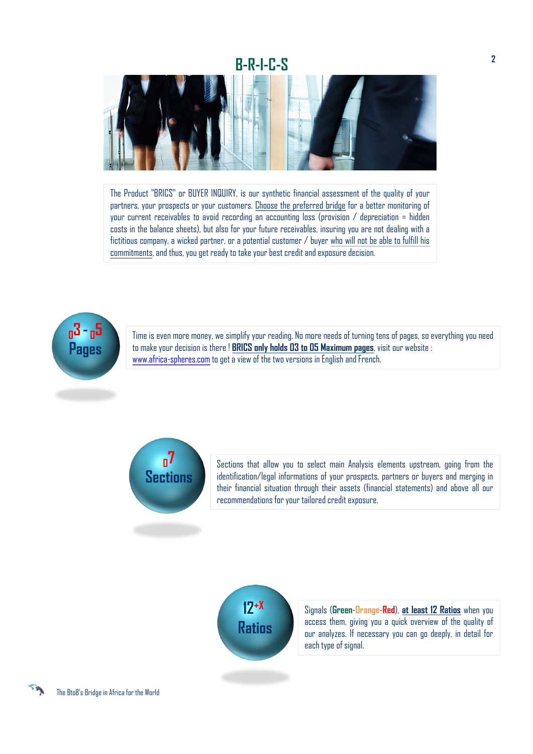# **B-R-I-C-S**



The Product "BRICS" or BUYER INQUIRY, is our synthetic financial assessment of the quality of your partners, your prospects or your customers. Choose the preferred bridge for a better monitoring of your current receivables to avoid recording an accounting loss (provision  $\ell$  depreciation = hidden costs in the balance sheets), but also for your future receivables, insuring you are not dealing with a fictitious company, a wicked partner, or a potential customer / buyer who will not be able to fulfill his commitments, and thus, you get ready to take your best credit and exposure decision.



Time is even more money, we simplify your reading. No more needs of turning tens of pages, so everything you need to make your decision is there ! **BRICS only holds 03 to 05 Maximum pages**, visit our website : www.africa-spheres.com to get a view of the two versions in English and French.



Sections that allow you to select main Analysis elements upstream, going from the identification/legal informations of your prospects, partners or buyers and merging in their financial situation through their assets (financial statements) and above all our recommendations for your tailored credit exposure.



Signals (**Green**-**Orange**-**Red**), **at least 12 Ratios** when you access them, giving you a quick overview of the quality of our analyzes. If necessary you can go deeply, in detail for each type of signal.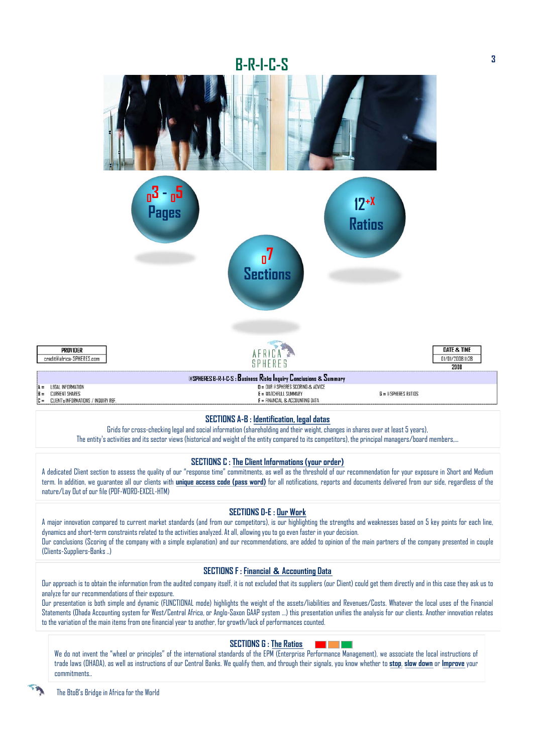

## Grids for cross-checking legal and social information (shareholding and their weight, changes in shares over at least 5 years),

The entity's activities and its sector views (historical and weight of the entity compared to its competitors), the principal managers/board members,…

#### **SECTIONS C : The Client Informations (your order)**

A dedicated Client section to assess the quality of our "response time" commitments, as well as the threshold of our recommendation for your exposure in Short and Medium term. In addition, we guarantee all our clients with **unique access code (pass word)** for all notifications, reports and documents delivered from our side, regardless of the nature/Lay Out of our file (PDF-WORD-EXCEL-HTM)

### **SECTIONS D-E : Our Work**

A major innovation compared to current market standards (and from our competitors), is our highlighting the strengths and weaknesses based on 5 key points for each line, dynamics and short-term constraints related to the activities analyzed. At all, allowing you to go even faster in your decision. Our conclusions (Scoring of the company with a simple explanation) and our recommendations, are added to opinion of the main partners of the company presented in couple (Clients-Suppliers-Banks ..)

#### **SECTIONS F : Financial & Accounting Data**

Our approach is to obtain the information from the audited company itself, it is not excluded that its suppliers (our Client) could get them directly and in this case they ask us to analyze for our recommendations of their exposure.

Our presentation is both simple and dynamic (FUNCTIONAL mode) highlights the weight of the assets/liabilities and Revenues/Costs. Whatever the local uses of the Financial Statements (Ohada Accounting system for West/Central Africa, or Anglo-Saxon GAAP system ...) this presentation unifies the analysis for our clients. Another innovation relates to the variation of the main items from one financial year to another, for growth/lack of performances counted.

### **SECTIONS G : The Ratios**

We do not invent the "wheel or principles" of the international standards of the EPM (Enterprise Performance Management), we associate the local instructions of trade laws (OHADA), as well as instructions of our Central Banks. We qualify them, and through their signals, you know whether to **stop**, **slow down** or **Improve** your commitments..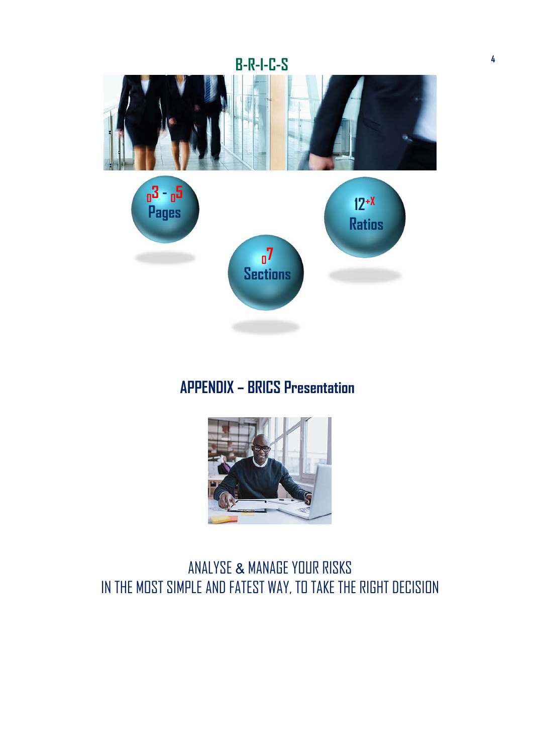

# **APPENDIX – BRICS Presentation**



# ANALYSE & MANAGE YOUR RISKS IN THE MOST SIMPLE AND FATEST WAY, TO TAKE THE RIGHT DECISION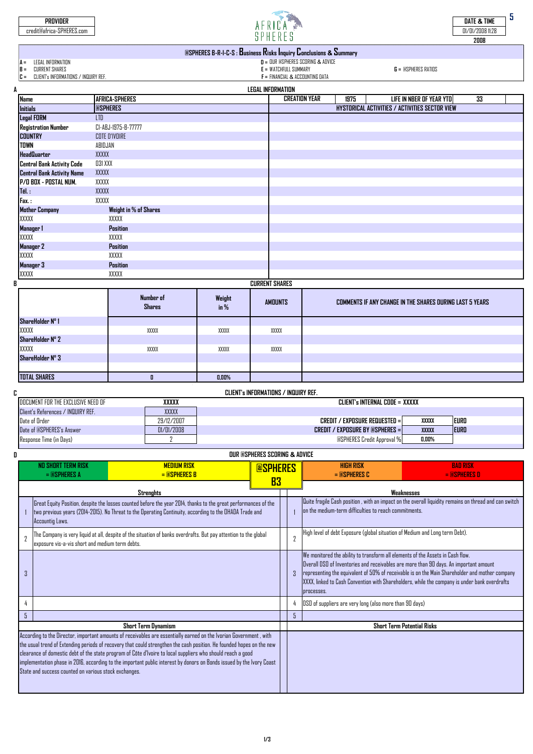| PROVIDER<br>credit@africa-SPHERES.com                                                                                       |                     |  | SPHFRFS                                                                                                                              |      |                                                | DATE & TIME<br>01/01/2008 11:28<br>2008 |  |  |  |
|-----------------------------------------------------------------------------------------------------------------------------|---------------------|--|--------------------------------------------------------------------------------------------------------------------------------------|------|------------------------------------------------|-----------------------------------------|--|--|--|
| <b>@SPHERES B-R-I-C-S: Business Risks Inquiry Conclusions &amp; Summary</b>                                                 |                     |  |                                                                                                                                      |      |                                                |                                         |  |  |  |
| LEGAL INFORMATION<br>$A =$<br><b>CURRENT SHARES</b><br><b>B</b> =<br>CLIENT's INFORMATIONS / INQUIRY REF.<br>$\mathbb{C} =$ |                     |  | $D = DUR$ espheres scoring & advice<br>$G = \text{QSPHERES RATIONS}$<br>$E = WATEHFLUL SUMMARY$<br>$F =$ FINANCIAL & ACCOUNTING DATA |      |                                                |                                         |  |  |  |
|                                                                                                                             |                     |  | <b>LEGAL INFORMATION</b>                                                                                                             |      |                                                |                                         |  |  |  |
| <b>Name</b>                                                                                                                 | AFRICA-SPHERES      |  | <b>CREATION YEAR</b>                                                                                                                 | 1975 | LIFE IN NBER OF YEAR YTD                       | 33                                      |  |  |  |
| <b>@SPHERES</b><br><b>Initials</b>                                                                                          |                     |  |                                                                                                                                      |      | HYSTORICAL ACTIVITIES / ACTIVITIES SECTOR VIEW |                                         |  |  |  |
| <b>Legal FORM</b>                                                                                                           | <b>LTD</b>          |  |                                                                                                                                      |      |                                                |                                         |  |  |  |
| <b>Registration Number</b>                                                                                                  | CI-ABJ-1975-B-77777 |  |                                                                                                                                      |      |                                                |                                         |  |  |  |

| . .                               |                       |  |
|-----------------------------------|-----------------------|--|
| <b>COUNTRY</b>                    | <b>COTE D'IVOIRE</b>  |  |
| TOWN                              | ABIDJAN               |  |
| <b>HeadQuarter</b>                | XXXXX                 |  |
| <b>Central Bank Activity Code</b> | 031 XXX               |  |
| <b>Central Bank Activity Name</b> | XXXXX                 |  |
| P/O BOX - POSTAL NUM.             | XXXXX                 |  |
| Tél.:                             | XXXXX                 |  |
| Fax. :                            | XXXXX                 |  |
| <b>Mother Company</b>             | Weight in % of Shares |  |
| XXXXX                             | XXXXX                 |  |
|                                   |                       |  |
| Manager 1                         | <b>Position</b>       |  |
| XXXXX                             | XXXXX                 |  |
| Manager 2                         | Position              |  |
| XXXXX                             | XXXXX                 |  |
| Manager 3                         | Position              |  |

#### **CURRENT SHARES**

**B**

|                     | Number of<br><b>Shares</b> | Weight<br>$in\%$ | <b>AMOUNTS</b> | COMMENTS IF ANY CHANGE IN THE SHARES DURING LAST 5 YEARS |
|---------------------|----------------------------|------------------|----------------|----------------------------------------------------------|
| ShareHolder Nº 1    |                            |                  |                |                                                          |
| XXXXX               | XXXXX                      | XXXXX            | XXXXX          |                                                          |
| ShareHolder Nº 2    |                            |                  |                |                                                          |
| XXXXX               | XXXXX                      | XXXXX            | XXXXX          |                                                          |
| ShareHolder Nº 3    |                            |                  |                |                                                          |
|                     |                            |                  |                |                                                          |
| <b>TOTAL SHARES</b> |                            | 0,00%            |                |                                                          |

|                                    |            | CLIENT's INFORMATIONS / INQUIRY REF.     |              |             |  |  |  |
|------------------------------------|------------|------------------------------------------|--------------|-------------|--|--|--|
| DOCUMENT FOR THE EXCLUSIVE NEED OF | xxxxx      | CLIENT's INTERNAL CODE = XXXXX           |              |             |  |  |  |
| Client's References / INQUIRY REF. | XXXXX      |                                          |              |             |  |  |  |
| Date of Order                      | 29/12/2007 | CREDIT / EXPOSURE REQUESTED = 1          | XXXXX        | <b>EURO</b> |  |  |  |
| Date of @SPHERES's Answer          | 01/01/2008 | <b>CREDIT / EXPOSURE BY @SPHERES = 1</b> | <b>XXXXX</b> | <b>EURO</b> |  |  |  |
| Response Time (in Days)            |            | <b>@SPHERES Credit Approval %</b>        | 0.00%        |             |  |  |  |

|                                                                                                                                                                                                                                               |                                                                                                                                                                                                                                                                                                                                                                                                                                                                                                                                              |                               | <b>OUR @SPHERES SCORING &amp; ADVICE</b> |                                                                              |                                                                                                                                                                                                                                                                                                                                                                                          |                                                                                                        |  |  |  |  |
|-----------------------------------------------------------------------------------------------------------------------------------------------------------------------------------------------------------------------------------------------|----------------------------------------------------------------------------------------------------------------------------------------------------------------------------------------------------------------------------------------------------------------------------------------------------------------------------------------------------------------------------------------------------------------------------------------------------------------------------------------------------------------------------------------------|-------------------------------|------------------------------------------|------------------------------------------------------------------------------|------------------------------------------------------------------------------------------------------------------------------------------------------------------------------------------------------------------------------------------------------------------------------------------------------------------------------------------------------------------------------------------|--------------------------------------------------------------------------------------------------------|--|--|--|--|
|                                                                                                                                                                                                                                               | NO SHORT TERM RISK<br><b>MEDIUM RISK</b><br>$=$ $@SPHERES$ A<br>$=$ <b>@SPHERES B</b>                                                                                                                                                                                                                                                                                                                                                                                                                                                        | <b><u><b>aspheres</b></u></b> |                                          |                                                                              | <b>HIGH RISK</b><br>$=$ <b>@SPHERES C</b>                                                                                                                                                                                                                                                                                                                                                | <b>BAD RISK</b><br>$=$ <b>aspheres</b> $\bf{D}$                                                        |  |  |  |  |
|                                                                                                                                                                                                                                               | <b>Strenghts</b>                                                                                                                                                                                                                                                                                                                                                                                                                                                                                                                             | <b>B3</b>                     |                                          |                                                                              | Weaknesses                                                                                                                                                                                                                                                                                                                                                                               |                                                                                                        |  |  |  |  |
| Great Equity Position, despite the losses counted before the year 2014, thanks to the great performances of the<br>two previous years (2014-2015). No Threat to the Operating Continuity, according to the OHADA Trade and<br>Accountig Laws. |                                                                                                                                                                                                                                                                                                                                                                                                                                                                                                                                              |                               |                                          |                                                                              | on the medium-term difficulties to reach commitments.                                                                                                                                                                                                                                                                                                                                    | Quite fragile Cash position , with an impact on the overall liquidity remains on thread and can switch |  |  |  |  |
| 7                                                                                                                                                                                                                                             | The Company is very liquid at all, despite of the situation of banks overdrafts. But pay attention to the global<br>exposure vis-a-vis short and medium term debts.                                                                                                                                                                                                                                                                                                                                                                          |                               | $\overline{2}$                           | High level of debt Exposure (global situation of Medium and Long term Debt). |                                                                                                                                                                                                                                                                                                                                                                                          |                                                                                                        |  |  |  |  |
| 3                                                                                                                                                                                                                                             |                                                                                                                                                                                                                                                                                                                                                                                                                                                                                                                                              |                               |                                          |                                                                              | We monitored the ability to transform all elements of the Assets in Cash flow.<br>Overall DSO of Inventories and receivables are more than 90 days. An important amount<br>representing the equivalent of 50% of receivable is on the Main Shareholder and mother company<br>XXXX, linked to Cash Convention with Shareholders, while the company is under bank overdrafts<br>processes. |                                                                                                        |  |  |  |  |
|                                                                                                                                                                                                                                               |                                                                                                                                                                                                                                                                                                                                                                                                                                                                                                                                              |                               |                                          |                                                                              | OSO of suppliers are very long (also more than 90 days)                                                                                                                                                                                                                                                                                                                                  |                                                                                                        |  |  |  |  |
| 5                                                                                                                                                                                                                                             |                                                                                                                                                                                                                                                                                                                                                                                                                                                                                                                                              |                               |                                          | 5                                                                            |                                                                                                                                                                                                                                                                                                                                                                                          |                                                                                                        |  |  |  |  |
|                                                                                                                                                                                                                                               | Short Term Dynamism                                                                                                                                                                                                                                                                                                                                                                                                                                                                                                                          |                               |                                          |                                                                              |                                                                                                                                                                                                                                                                                                                                                                                          | <b>Short Term Potential Risks</b>                                                                      |  |  |  |  |
|                                                                                                                                                                                                                                               | According to the Director, important amounts of receivables are essentially earned on the Ivorian Government, with<br>the usual trend of Extending periods of recovery that could strengthen the cash position. He founded hopes on the new<br>clearance of domestic debt of the state program of Côte d'Ivoire to local suppliers who should reach a good<br>implementation phase in 2016, according to the important public interest by donors on Bonds issued by the Ivory Coast<br>State and success counted on various stock exchanges. |                               |                                          |                                                                              |                                                                                                                                                                                                                                                                                                                                                                                          |                                                                                                        |  |  |  |  |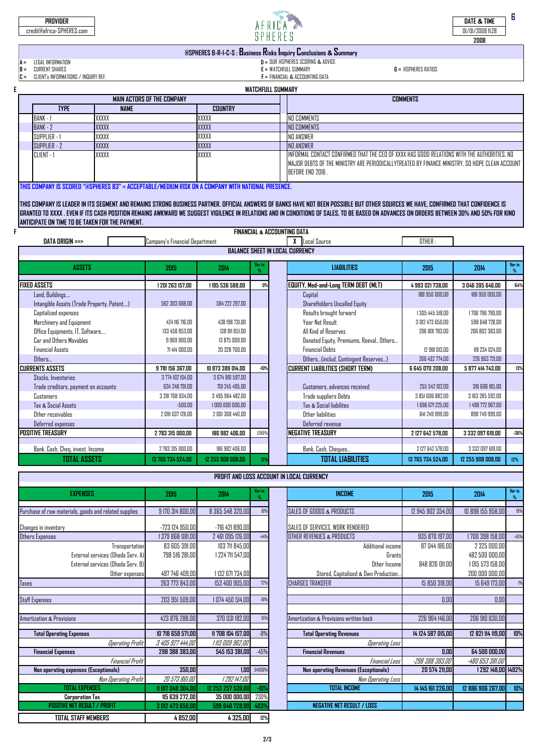| PROVIDER<br>credit@africa-SPHERES.com                                                                       | SPHFRFS                                                           |                                                                                                       |                              | DATE & TIME<br>01/01/2008 11:28<br>2008 |
|-------------------------------------------------------------------------------------------------------------|-------------------------------------------------------------------|-------------------------------------------------------------------------------------------------------|------------------------------|-----------------------------------------|
|                                                                                                             | @SPHERES B-R-I-C-S : Business Risks Inquiry Conclusions & Summary |                                                                                                       |                              |                                         |
| LEGAL INFORMATION<br>$A =$<br>$B =$<br>CURRENT SHARES<br>CLIENT's INFORMATIONS / INQUIRY REF.<br><b>C</b> = |                                                                   | $D = DUR$ espheres scoring & advice<br>$E = WATEHEHILI SIIMMARY$<br>$F = FINANCIAL & ACCDUNTING DATA$ | $G = \text{RSPHERES RATING}$ |                                         |
|                                                                                                             | <b>WATCHFULL SUMMARY</b>                                          |                                                                                                       |                              |                                         |
|                                                                                                             | MAIN ACTORS OF THE COMPANY                                        |                                                                                                       | <b>COMMENTS</b>              |                                         |

| <b>TYPE</b>          | <b>NAME</b> | <b>COUNTRY</b> |                                                                                                                                                                                                                    |
|----------------------|-------------|----------------|--------------------------------------------------------------------------------------------------------------------------------------------------------------------------------------------------------------------|
| BANK - 1             | XXXXX       | XXXXX          | NO COMMENTS                                                                                                                                                                                                        |
| <b>BANK - 2</b>      | XXXXX       | XXXXX          | NO COMMENTS                                                                                                                                                                                                        |
| <b>ISUPPLIER - 1</b> | XXXXX       | XXXXX          | NO ANSWER                                                                                                                                                                                                          |
| SUPPLIER - 2         | XXXXX       | XXXXX          | <b>NO ANSWER</b>                                                                                                                                                                                                   |
| CLIENT -             | XXXXX       | XXXXX          | TINFORMAL CONTACT CONFIRMED THAT THE CEO OF XXXX HAS GOOD RELATIONS WITH THE AUTHORITIES. NO<br>MAJOR DEBTS OF THE MINISTRY ARE PERIODICALLYTREATED BY FINANCE MINISTRY. SO HOPE CLEAN ACCOUNT<br>BEFORE END 2016. |

**THIS COMPANY IS SCORED ''@SPHERES B3" = ACCEPTABLE/MEDIUM RISK ON A COMPANY WITH NATIONAL PRESENCE.**

**FINANCIAL & ACCOUNTING DATA THIS COMPANY IS LEADER IN ITS SEGMENT AND REMAINS STRONG BUSINESS PARTNER. OFFICIAL ANSWERS OF BANKS HAVE NOT BEEN POSSIBLE BUT OTHER SOURCES WE HAVE, CONFIRMED THAT CONFIDENCE IS GRANTED TO XXXX . EVEN IF ITS CASH POSITION REMAINS AWKWARD WE SUGGEST VIGILENCE IN RELATIONS AND IN CONDITIONS OF SALES, TO BE BASED ON ADVANCES ON ORDERS BETWEEN 30% AND 50% FOR KIND ANTICIPATE ON TIME TO BE TAKEN FOR THE PAYMENT.**

| DATA DRIGIN ==><br>Company's Financial Department |                   |                   |                 |  | Local Source                                | OTHER:            |                   |             |
|---------------------------------------------------|-------------------|-------------------|-----------------|--|---------------------------------------------|-------------------|-------------------|-------------|
|                                                   |                   |                   |                 |  |                                             |                   |                   |             |
| <b>ASSETS</b>                                     | 2015              | 2014              | Var in          |  | <b>LIABILITIES</b>                          | 2015              | 2014              | Var in<br>% |
| <b>FIXED ASSETS</b>                               | 1 201 263 157.00  | 1195 536 588.00   | 0%              |  | <b>EQUITY, Med-and-Long TERM DEBT (MLT)</b> | 4 993 021 738.00  | 3 046 395 646.00  | 64%         |
| Land, Buildings                                   |                   |                   |                 |  | Capital                                     | 188 950 000.00    | 188 950 000.00    |             |
| Intangible Assets (Trade Property, Patent,)       | 562 303 688.00    | 584 222 297,00    |                 |  | ShareHolders Uncalled Equity                |                   |                   |             |
| Capitalized expenses                              |                   |                   |                 |  | Results brought forward                     | 1 305 445 518.00  | 1706 796 790.00   |             |
| Marchinery and Equipment                          | 424 116 716.00    | 438 198 731.00    |                 |  | Year Net Result                             | 3 012 473 650.00  | 598 648 728.00    |             |
| Office Equipments, IT, Software                   | 133 458 853.00    | 138 911 851.00    |                 |  | All Kind of Reserves                        | 206 801 783.00    | 206 802 383.00    |             |
| Car and Others Movables                           | 9 969 900.00      | 13 875 009.00     |                 |  | Donated Equity, Premiums, Reeval., Others   |                   |                   |             |
| <b>Financial Assets</b>                           | 71 414 000.00     | 20 328 700.00     |                 |  | <b>Financial Dehts</b>                      | 12.918.013.00     | 118 234 024.00    |             |
| Others                                            |                   |                   |                 |  | Others(includ. Contingent Reserves)         | 266 432 774.00    | 226 963 721.00    |             |
| <b>CURRENTS ASSETS</b>                            | 9 781 156 367.00  | 10 873 389 014.00 | $-10%$          |  | <b>CURRENT LIABILITIES (SHORT TERM)</b>     | 6 645 070 208.00  | 5 877 414 743.00  | 13%         |
| Stocks, Inventories                               | 3 774 102 104 00  | 3 674 810 597.00  |                 |  |                                             |                   |                   |             |
| Trade creditors, payment on accounts              | 634 248 701.00    | 701 245 495.00    |                 |  | Customers, advances received                | 255 542 102.00    | 316 606 185.00    |             |
| Customers                                         | 3 281 768 934.00  | 3 495 964 482,00  |                 |  | Trade suppliers Debts                       | 3 851 606 882.00  | 3 163 285 592.00  |             |
| Tax & Social Assets                               | $-500.00$         | 1000 000 000.00   |                 |  | Tax & Social liabilites                     | 1 696 671 225.00  | 1498 772 967.00   |             |
| Other receivables                                 | 2 091 037 128.00  | 2 001 368 440.00  |                 |  | Other liabilities                           | 841 249 999.00    | 898 749 999.00    |             |
| Deferred expenses                                 |                   |                   |                 |  | Deferred revenue                            |                   |                   |             |
| <b>POSITIVE TREASURY</b>                          | 2 783 315 000.00  | 186 982 406,00    | 1389%           |  | <b>NEGATIVE TREASURY</b>                    | 2 127 642 578.00  | 3 332 097 619.00  | $-36%$      |
|                                                   |                   |                   |                 |  |                                             |                   |                   |             |
| Bank, Cash, Cheq, invest. Income                  | 2 783 315 000.00  | 186 982 406.00    |                 |  | Bank, Cash, Cheques                         | 2 127 642 578.00  | 3 332 097 619.00  |             |
| <b>TOTAL ASSETS</b>                               | 13 765 734 524,00 | 12 255 908 008,00 | 12 <sup>9</sup> |  | <b>TOTAL LIABILITIES</b>                    | 13 765 734 524.00 | 12 255 908 008.00 | 12%         |

| PROFIT AND LOSS ACCOUNT IN LOCAL CURRENCY                                                                  |                                                   |                                                        |        |  |                                                                                      |                                 |                                                                      |                |  |  |
|------------------------------------------------------------------------------------------------------------|---------------------------------------------------|--------------------------------------------------------|--------|--|--------------------------------------------------------------------------------------|---------------------------------|----------------------------------------------------------------------|----------------|--|--|
| <b>EXPENSES</b>                                                                                            | 2015                                              | 2014                                                   | Var in |  | <b>INCOME</b>                                                                        | 2015                            | 2014                                                                 | Var in<br>$\%$ |  |  |
| Purchase of raw materials, goods and related supplies                                                      | 9 170 314 800,00                                  | 8 365 548 320,00                                       | 10%    |  | SALES OF GOODS & PRODUCTS                                                            | 12 945 902 354,00               | 10 898 155 958,00                                                    | 19%            |  |  |
| Changes in inventory                                                                                       | -723 124 950.00                                   | -716 421 890,00                                        |        |  | SALES OF SERVICES, WORK RENDERED                                                     |                                 |                                                                      |                |  |  |
| Others Expenses                                                                                            | 1 379 868 081.00                                  | 2 461 095 126.00                                       | $-44%$ |  | OTHER REVENUES & PRODUCTS                                                            | 935 870 197.00                  | 1700 398 158.00                                                      | $-45%$         |  |  |
| Transportation<br>External services (Ohada Serv. A)<br>External services (Ohada Serv. B)<br>Other expenses | 83 605 391.00<br>798 516 281,00<br>497 746 409.00 | 103 711 845.00<br>1 224 711 547,00<br>1 132 671 734,00 |        |  | Additional income<br>Grants<br>Other Income<br>Stored, Capitalised & Own Production. | 87 044 186.00<br>848 826 011.00 | 2 325 000,00<br>482 500 000.00<br>1 015 573 158,00<br>200 000 000,00 |                |  |  |
| <b>Taxes</b>                                                                                               | 263 773 843.00                                    | 153 400 905.00                                         | 72%    |  | <b>CHARGES TRANSFER</b>                                                              | 15 850 318.00                   | 15 649 173,00                                                        | 1%             |  |  |
|                                                                                                            |                                                   |                                                        |        |  |                                                                                      |                                 |                                                                      |                |  |  |
| <b>Staff Expenses</b>                                                                                      | 203 951 509,00                                    | 1 074 450 514,00                                       | $-81%$ |  |                                                                                      | 0.00                            | 0.00                                                                 |                |  |  |
| <b>Amortization &amp; Provisions</b>                                                                       | 423 876 288,00                                    | 370 031 182,00                                         | 15%    |  | Amortization & Provisions written back                                               | 226 964 146,00                  | 206 910 830,00                                                       |                |  |  |
| <b>Total Operating Expenses</b>                                                                            | 10 718 659 571,00                                 | 11 708 104 157,00                                      | $-8%$  |  | <b>Total Operating Revenues</b>                                                      | 14 124 587 015.00               | 12 821 114 119,00                                                    | 10%            |  |  |
| <b>Operating Profit</b>                                                                                    | 3 405 927 444.00                                  | 1 113 009 962.00                                       |        |  | <b>Operating Loss</b>                                                                |                                 |                                                                      |                |  |  |
| <b>Financial Expenses</b>                                                                                  | 298 388 383.00                                    | 545 153 381,00                                         | $-45%$ |  | <b>Financial Revenues</b>                                                            | 0.00                            | 64 500 000.00                                                        |                |  |  |
| Financial Profit                                                                                           |                                                   |                                                        |        |  | Financial Loss                                                                       | -298 388 383.00                 | -480 653 381.00                                                      |                |  |  |
| Non operating expenses (Exceptionals)                                                                      | 350.00                                            | 1,00                                                   | 34900% |  | <b>Non operating Revenues (Exceptionals)</b>                                         | 20 574 211.00                   | 1 292 148,00 1492%                                                   |                |  |  |
| Non Operating Profit                                                                                       | 20 573 861.00                                     | 1 292 147,00                                           |        |  | Non Operating Loss                                                                   |                                 |                                                                      |                |  |  |
| <b>TOTAL EXPENSES</b>                                                                                      | 11 017 048 304.00                                 | 12 253 257 539,00                                      | $-10%$ |  | <b>TOTAL INCOME</b>                                                                  | 14 145 161 226.00               | 12 886 906 267.00                                                    | 10%            |  |  |
| <b>Corporation Tax</b>                                                                                     | 115 639 272,00                                    | 35 000 000,00                                          | 230%   |  |                                                                                      |                                 |                                                                      |                |  |  |
| <b>POSITIVE NET RESULT / PROFIT</b>                                                                        | 3 012 473 650.00                                  | 598 648 728.00                                         | 403%   |  | <b>NEGATIVE NET RESULT / LOSS</b>                                                    |                                 |                                                                      |                |  |  |
| <b>TOTAL STAFF MEMBERS</b>                                                                                 | 4 852.00                                          | 4 325,00                                               | 12%    |  |                                                                                      |                                 |                                                                      |                |  |  |

. .

| <b>EXPENSES</b>                                  | 2015              | 2014              | Var in<br>% | <b>INCOME</b>                                | 2015              | 2014               | Var in<br>$\%$ |
|--------------------------------------------------|-------------------|-------------------|-------------|----------------------------------------------|-------------------|--------------------|----------------|
|                                                  |                   |                   |             |                                              |                   |                    |                |
| ise of raw materials, goods and related supplies | 9 170 314 800.00  | 8 365 548 320.00  | 10%         | SALES OF GOODS & PRODUCTS                    | 12 945 902 354.00 | 10 898 155 958.00  | 19%            |
| es in inventory                                  | $-723$ 124 950.00 | -716 421 890.00   |             | SALES OF SERVICES, WORK RENDERED             |                   |                    |                |
| Expenses                                         | 379 868 081.00    | 2 461 095 126,00  | $-44%$      | OTHER REVENUES & PRODUCTS                    | 935 870 197.00    | 1700 398 158.00    | $-45%$         |
| Transportation                                   | 83 605 391,00     | 103 711 845,00    |             | Additional income                            | 87 044 186,00     | 2 325 000,00       |                |
| External services (Ohada Serv. A)                | 798 516 281,00    | 1 224 711 547,00  |             | Grants                                       |                   | 482 500 000,00     |                |
| External services (Ohada Serv. B)                |                   |                   |             | Other Income                                 | 848 826 011.00    | 1 015 573 158.00   |                |
| Other expenses                                   | 497 746 409,00    | 1 132 671 734,00  |             | Stored, Capitalised & Own Production.        |                   | 200 000 000,00     |                |
|                                                  | 263 773 843,00    | 153 400 905,00    | 72%         | <b>CHARGES TRANSFER</b>                      | 15 850 318,00     | 15 649 173,00      | 1%             |
|                                                  |                   |                   |             |                                              |                   |                    |                |
| xpenses                                          | 203 951 509,00    | 1 074 450 514,00  | $-81%$      |                                              | 0,00              | 0,00               |                |
|                                                  |                   |                   |             |                                              |                   |                    |                |
| zation & Provisions                              | 423 876 288,00    | 370 031 182,00    | 15%         | Amortization & Provisions written back       | 226 964 146,00    | 206 910 830,00     |                |
|                                                  |                   |                   |             |                                              |                   |                    |                |
| <b>Total Operating Expenses</b>                  | 10 718 659 571,00 | 11 708 104 157,00 | $-8%$       | <b>Total Operating Revenues</b>              | 14 124 587 015.00 | 12 821 114 119,00  | 10%            |
| <b>Operating Profit</b>                          | 3 405 927 444,00  | 1 113 009 962,00  |             | <b>Operating Loss</b>                        |                   |                    |                |
| <b>Financial Expenses</b>                        | 298 388 383.00    | 545 153 381.00    | $-45%$      | <b>Financial Revenues</b>                    | 0.00              | 64 500 000,00      |                |
| Financial Profit                                 |                   |                   |             | Financial Loss                               | -298 388 383,00   | -480 653 381.00    |                |
| Non operating expenses (Exceptionals)            | 350.00            | 1.00              | 34900%      | <b>Non operating Revenues (Exceptionals)</b> | 20 574 211,00     | 1 292 148,00 1492% |                |
| Non Operating Profit                             | 20 573 861.00     | 1 292 147.00      |             | Non Operating Loss                           |                   |                    |                |
| <b>TOTAL EXPENSES</b>                            | 11 017 048 304,00 | 12 253 257 539.00 | $-10%$      | <b>TOTAL INCOME</b>                          | 14 145 161 226,00 | 12 886 906 267.00  | 10%            |
| <b>Corporation Tax</b>                           | 115 639 272,00    | 35 000 000,00     | 230%        |                                              |                   |                    |                |
| <b>POSITIVE NET RESULT / PROFIT</b>              | 3 012 473 650.00  | 598 648 728,00    | 4039        | <b>NEGATIVE NET RESULT / LOSS</b>            |                   |                    |                |
|                                                  |                   |                   |             |                                              |                   |                    |                |